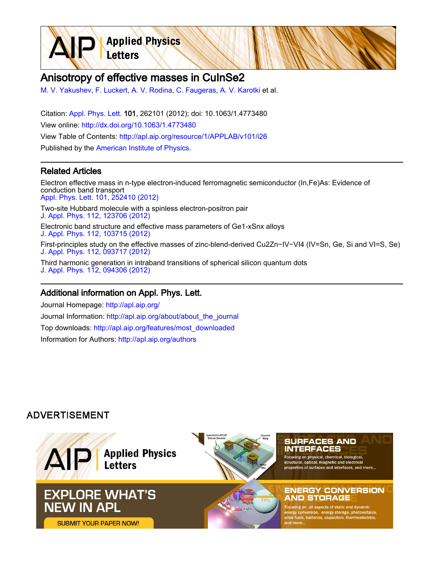**Applied Physics** Letters

# Anisotropy of effective masses in CuInSe2

[M. V. Yakushev,](http://apl.aip.org/search?sortby=newestdate&q=&searchzone=2&searchtype=searchin&faceted=faceted&key=AIP_ALL&possible1=M. V. Yakushev&possible1zone=author&alias=&displayid=AIP&ver=pdfcov) [F. Luckert,](http://apl.aip.org/search?sortby=newestdate&q=&searchzone=2&searchtype=searchin&faceted=faceted&key=AIP_ALL&possible1=F. Luckert&possible1zone=author&alias=&displayid=AIP&ver=pdfcov) [A. V. Rodina,](http://apl.aip.org/search?sortby=newestdate&q=&searchzone=2&searchtype=searchin&faceted=faceted&key=AIP_ALL&possible1=A. V. Rodina&possible1zone=author&alias=&displayid=AIP&ver=pdfcov) [C. Faugeras](http://apl.aip.org/search?sortby=newestdate&q=&searchzone=2&searchtype=searchin&faceted=faceted&key=AIP_ALL&possible1=C. Faugeras&possible1zone=author&alias=&displayid=AIP&ver=pdfcov), [A. V. Karotki](http://apl.aip.org/search?sortby=newestdate&q=&searchzone=2&searchtype=searchin&faceted=faceted&key=AIP_ALL&possible1=A. V. Karotki&possible1zone=author&alias=&displayid=AIP&ver=pdfcov) et al.

Citation: [Appl. Phys. Lett. 1](http://apl.aip.org/?ver=pdfcov)01, 262101 (2012); doi: 10.1063/1.4773480 View online: [http://dx.doi.org/10.1063/1.4773480](http://link.aip.org/link/doi/10.1063/1.4773480?ver=pdfcov) View Table of Contents: [http://apl.aip.org/resource/1/APPLAB/v101/i26](http://apl.aip.org/resource/1/APPLAB/v101/i26?ver=pdfcov) Published by the [American Institute of Physics.](http://www.aip.org/?ver=pdfcov)

## Related Articles

Electron effective mass in n-type electron-induced ferromagnetic semiconductor (In,Fe)As: Evidence of conduction band transport [Appl. Phys. Lett. 101, 252410 \(2012\)](http://link.aip.org/link/doi/10.1063/1.4772630?ver=pdfcov) Two-site Hubbard molecule with a spinless electron-positron pair [J. Appl. Phys. 112, 123706 \(2012\)](http://link.aip.org/link/doi/10.1063/1.4769741?ver=pdfcov) Electronic band structure and effective mass parameters of Ge1-xSnx alloys [J. Appl. Phys. 112, 103715 \(2012\)](http://link.aip.org/link/doi/10.1063/1.4767381?ver=pdfcov) First-principles study on the effective masses of zinc-blend-derived Cu2Zn−IV−VI4 (IV=Sn, Ge, Si and VI=S, Se) [J. Appl. Phys. 112, 093717 \(2012\)](http://link.aip.org/link/doi/10.1063/1.4759322?ver=pdfcov) Third harmonic generation in intraband transitions of spherical silicon quantum dots [J. Appl. Phys. 112, 094306 \(2012\)](http://link.aip.org/link/doi/10.1063/1.4763477?ver=pdfcov)

#### Additional information on Appl. Phys. Lett.

Journal Homepage: [http://apl.aip.org/](http://apl.aip.org/?ver=pdfcov) Journal Information: [http://apl.aip.org/about/about\\_the\\_journal](http://apl.aip.org/about/about_the_journal?ver=pdfcov) Top downloads: [http://apl.aip.org/features/most\\_downloaded](http://apl.aip.org/features/most_downloaded?ver=pdfcov) Information for Authors: [http://apl.aip.org/authors](http://apl.aip.org/authors?ver=pdfcov)

## **ADVERTISEMENT**

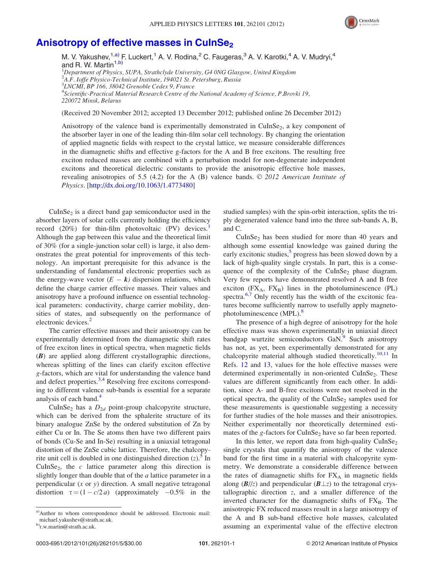

# Anisotropy of effective masses in CuInSe<sub>2</sub>

M. V. Yakushev,  $1, a)$  F. Luckert,  $1 \text{ A}$ . V. Rodina,  $2 \text{ C}$ . Faugeras,  $3 \text{ A}$ . V. Karotki,  $4 \text{ A}$ . V. Mudryi,  $4$ and R. W. Martin<sup>1,b)</sup> <sup>1</sup>Department of Physics, SUPA, Strathclyde University, G4 0NG Glasgow, United Kingdom

<sup>2</sup>A.F. Ioffe Physico-Technical Institute, 194021 St. Petersburg, Russia

3 LNCMI, BP 166, 38042 Grenoble Cedex 9, France

4 Scientific-Practical Material Research Centre of the National Academy of Science, P.Brovki 19, 220072 Minsk, Belarus

(Received 20 November 2012; accepted 13 December 2012; published online 26 December 2012)

Anisotropy of the valence band is experimentally demonstrated in  $CuInSe<sub>2</sub>$ , a key component of the absorber layer in one of the leading thin-film solar cell technology. By changing the orientation of applied magnetic fields with respect to the crystal lattice, we measure considerable differences in the diamagnetic shifts and effective g-factors for the A and B free excitons. The resulting free exciton reduced masses are combined with a perturbation model for non-degenerate independent excitons and theoretical dielectric constants to provide the anisotropic effective hole masses, revealing anisotropies of 5.5 (4.2) for the A (B) valence bands.  $\odot$  2012 American Institute of Physics. [\[http://dx.doi.org/10.1063/1.4773480\]](http://dx.doi.org/10.1063/1.4773480)

 $CuInSe<sub>2</sub>$  is a direct band gap semiconductor used in the absorber layers of solar cells currently holding the efficiency record  $(20\%)$  for thin-film photovoltaic  $(PV)$  devices. Although the gap between this value and the theoretical limit of 30% (for a single-junction solar cell) is large, it also demonstrates the great potential for improvements of this technology. An important prerequisite for this advance is the understanding of fundamental electronic properties such as the energy-wave vector  $(E - k)$  dispersion relations, which define the charge carrier effective masses. Their values and anisotropy have a profound influence on essential technological parameters: conductivity, charge carrier mobility, densities of states, and subsequently on the performance of electronic devices.<sup>[2](#page-4-0)</sup>

The carrier effective masses and their anisotropy can be experimentally determined from the diamagnetic shift rates of free exciton lines in optical spectra, when magnetic fields (B) are applied along different crystallographic directions, whereas splitting of the lines can clarify exciton effective g-factors, which are vital for understanding the valence band and defect properties.<sup>[3,4](#page-4-0)</sup> Resolving free excitons corresponding to different valence sub-bands is essential for a separate analysis of each band.<sup>[4](#page-4-0)</sup>

CuInSe<sub>2</sub> has a  $D_{2d}$  point-group chalcopyrite structure, which can be derived from the sphalerite structure of its binary analogue ZnSe by the ordered substitution of Zn by either Cu or In. The Se atoms then have two different pairs of bonds (Cu-Se and In-Se) resulting in a uniaxial tetragonal distortion of the ZnSe cubic lattice. Therefore, the chalcopyrite unit cell is doubled in one distinguished direction  $(z)$ . In CuInSe<sub>2</sub>, the  $c$  lattice parameter along this direction is slightly longer than double that of the  $a$  lattice parameter in a perpendicular  $(x \text{ or } y)$  direction. A small negative tetragonal distortion  $\tau = (1 - c/2a)$  (approximately  $-0.5\%$  in the

studied samples) with the spin-orbit interaction, splits the triply degenerated valence band into the three sub-bands A, B, and C.

 $CuInSe<sub>2</sub>$  has been studied for more than 40 years and although some essential knowledge was gained during the early excitonic studies,<sup>[5](#page-4-0)</sup> progress has been slowed down by a lack of high-quality single crystals. In part, this is a consequence of the complexity of the CuInSe<sub>2</sub> phase diagram. Very few reports have demonstrated resolved A and B free exciton  $(FX_A, FX_B)$  lines in the photoluminescence  $(PL)$ spectra.<sup>[6,7](#page-4-0)</sup> Only recently has the width of the excitonic features become sufficiently narrow to usefully apply magneto-photoluminescence (MPL).<sup>[8](#page-4-0)</sup>

The presence of a high degree of anisotropy for the hole effective mass was shown experimentally in uniaxial direct bandgap wurtzite semiconductors GaN.<sup>[9](#page-5-0)</sup> Such anisotropy has not, as yet, been experimentally demonstrated for any chalcopyrite material although studied theoretically.<sup>[10](#page-5-0),[11](#page-5-0)</sup> In Refs. [12](#page-5-0) and [13,](#page-5-0) values for the hole effective masses were determined experimentally in non-oriented CuInSe<sub>2</sub>. These values are different significantly from each other. In addition, since A- and B-free excitons were not resolved in the optical spectra, the quality of the CuInSe<sub>2</sub> samples used for these measurements is questionable suggesting a necessity for further studies of the hole masses and their anisotropies. Neither experimentally nor theoretically determined estimates of the g-factors for CuInSe<sub>2</sub> have so far been reported.

In this letter, we report data from high-quality  $CuInSe<sub>2</sub>$ single crystals that quantify the anisotropy of the valence band for the first time in a material with chalcopyrite symmetry. We demonstrate a considerable difference between the rates of diamagnetic shifts for  $FX_A$  in magnetic fields along  $(B/\ell)$  and perpendicular  $(B \perp z)$  to the tetragonal crystallographic direction z, and a smaller difference of the inverted character for the diamagnetic shifts of  $FX_B$ . The anisotropic FX reduced masses result in a large anisotropy of the A and B sub-band effective hole masses, calculated assuming an experimental value of the effective electron

a)Author to whom correspondence should be addressed. Electronic mail: [michael.yakushev@strath.ac.uk](mailto:michael.yakushev@strath.ac.uk).

b[\)r.w.martin@strath.ac.uk.](mailto:r.w.martin@strath.ac.uk)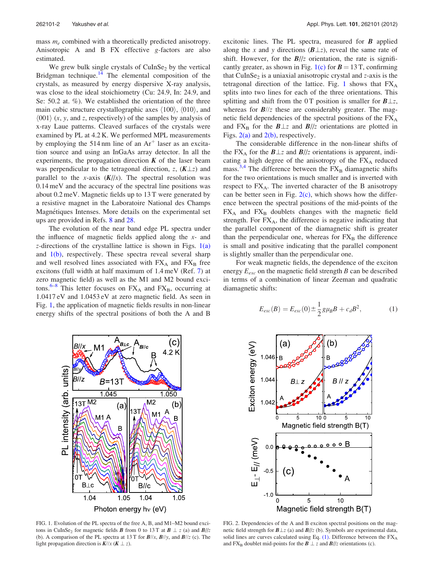<span id="page-2-0"></span>mass  $m_e$  combined with a theoretically predicted anisotropy. Anisotropic A and B FX effective g-factors are also estimated.

We grew bulk single crystals of  $CuInSe<sub>2</sub>$  by the vertical Bridgman technique. $14$  The elemental composition of the crystals, as measured by energy dispersive X-ray analysis, was close to the ideal stoichiometry (Cu: 24.9, In: 24.9, and Se: 50.2 at. %). We established the orientation of the three main cubic structure crystallographic axes  $\langle 100 \rangle$ ,  $\langle 010 \rangle$ , and  $\langle 001 \rangle$  (x, y, and z, respectively) of the samples by analysis of x-ray Laue patterns. Cleaved surfaces of the crystals were examined by PL at 4.2 K. We performed MPL measurements by employing the 514 nm line of an  $Ar<sup>+</sup>$  laser as an excitation source and using an InGaAs array detector. In all the experiments, the propagation direction  $K$  of the laser beam was perpendicular to the tetragonal direction, z,  $(K \perp z)$  and parallel to the x-axis  $(K//x)$ . The spectral resolution was 0.14 meV and the accuracy of the spectral line positions was about 0.2 meV. Magnetic fields up to 13 T were generated by a resistive magnet in the Laboratoire National des Champs Magnétiques Intenses. More details on the experimental set ups are provided in Refs. [8](#page-4-0) and [28.](#page-5-0)

The evolution of the near band edge PL spectra under the influence of magnetic fields applied along the  $x$ - and z-directions of the crystalline lattice is shown in Figs.  $1(a)$ and 1(b), respectively. These spectra reveal several sharp and well resolved lines associated with  $FX_A$  and  $FX_B$  free excitons (full width at half maximum of 1.4 meV (Ref. [7](#page-4-0)) at zero magnetic field) as well as the M1 and M2 bound exci-tons.<sup>[6–8](#page-4-0)</sup> This letter focuses on  $FX_A$  and  $FX_B$ , occurring at 1.0417 eV and 1.0453 eV at zero magnetic field. As seen in Fig. 1, the application of magnetic fields results in non-linear energy shifts of the spectral positions of both the A and B excitonic lines. The PL spectra, measured for  $\bm{B}$  applied along the x and y directions  $(B \perp z)$ , reveal the same rate of shift. However, for the  $B/\sqrt{z}$  orientation, the rate is significantly greater, as shown in Fig. 1(c) for  $B = 13$  T, confirming that CuInSe<sub>2</sub> is a uniaxial anisotropic crystal and  $z$ -axis is the tetragonal direction of the lattice. Fig. 1 shows that  $FX_A$ splits into two lines for each of the three orientations. This splitting and shift from the 0 T position is smaller for  $B \perp z$ , whereas for  $B\!/\!z$  these are considerably greater. The magnetic field dependencies of the spectral positions of the FXA and  $FX_B$  for the  $B\perp z$  and  $B\parallel/z$  orientations are plotted in Figs.  $2(a)$  and  $2(b)$ , respectively.

The considerable difference in the non-linear shifts of the FX<sub>A</sub> for the  $B \perp z$  and  $B/\vert z$  orientations is apparent, indicating a high degree of the anisotropy of the  $FX_A$  reduced mass.<sup>[3,4](#page-4-0)</sup> The difference between the  $FX_B$  diamagnetic shifts for the two orientations is much smaller and is inverted with respect to  $FX_A$ . The inverted character of the B anisotropy can be better seen in Fig.  $2(c)$ , which shows how the difference between the spectral positions of the mid-points of the  $FX_A$  and  $FX_B$  doublets changes with the magnetic field strength. For  $FX_A$ , the difference is negative indicating that the parallel component of the diamagnetic shift is greater than the perpendicular one, whereas for  $FX_B$  the difference is small and positive indicating that the parallel component is slightly smaller than the perpendicular one.

For weak magnetic fields, the dependence of the exciton energy  $E_{exc}$  on the magnetic field strength B can be described in terms of a combination of linear Zeeman and quadratic diamagnetic shifts:

$$
E_{exc}(B) = E_{exc}(0) \pm \frac{1}{2} g \mu_B B + c_d B^2, \qquad (1)
$$



FIG. 1. Evolution of the PL spectra of the free A, B, and M1–M2 bound excitons in CuInSe<sub>2</sub> for magnetic fields **B** from 0 to 13 T at  $\mathbf{B} \perp z$  (a) and  $\mathbf{B}/|z|$ (b). A comparison of the PL spectra at 13 T for  $B/\sqrt{x}$ ,  $B/\sqrt{y}$ , and  $B/\sqrt{z}$  (c). The light propagation direction is  $K/\ell x$  ( $K \perp z$ ).



FIG. 2. Dependencies of the A and B exciton spectral positions on the magnetic field strength for  $B \perp z$  (a) and  $B/\frac{z}{z}$  (b). Symbols are experimental data, solid lines are curves calculated using Eq. (1). Difference between the FXA and FX<sub>B</sub> doublet mid-points for the  $B \perp z$  and  $B/\ell z$  orientations (c).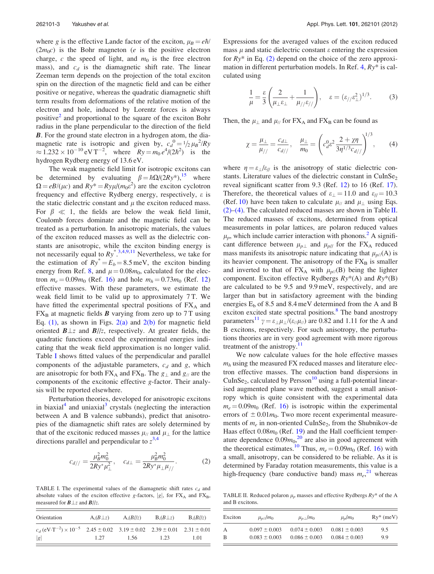<span id="page-3-0"></span>where g is the effective Lande factor of the exciton,  $\mu_B = e\hbar/$  $(2m_0c)$  is the Bohr magneton (*e* is the positive electron charge, c the speed of light, and  $m_0$  is the free electron mass), and  $c_d$  is the diamagnetic shift rate. The linear Zeeman term depends on the projection of the total exciton spin on the direction of the magnetic field and can be either positive or negative, whereas the quadratic diamagnetic shift term results from deformations of the relative motion of the electron and hole, induced by Lorentz forces is always positive<sup>[2](#page-4-0)</sup> and proportional to the square of the exciton Bohr radius in the plane perpendicular to the direction of the field **B**. For the ground state electron in a hydrogen atom, the diamagnetic rate is isotropic and given by,  $c_d^0 = 1/2 \mu B^2/Ry$  $\approx 1.232 \times 10^{-10} \text{ eV T}^{-2}$ , where  $Ry = m_0 e^4/(2\hbar^2)$  is the hydrogen Rydberg energy of 13.6 eV.

The weak magnetic field limit for isotropic excitons can be determined by evaluating  $\beta = \hbar \Omega/(2Ry^*)$ , where  $\Omega = eB/(\mu c)$  and  $Ry^* = Ry\mu/(m_0\epsilon^2)$  are the exciton cyclotron frequency and effective Rydberg energy, respectively,  $\varepsilon$  is the static dielectric constant and  $\mu$  the exciton reduced mass. For  $\beta \ll 1$ , the fields are below the weak field limit, Coulomb forces dominate and the magnetic field can be treated as a perturbation. In anisotropic materials, the values of the exciton reduced masses as well as the dielectric constants are anisotropic, while the exciton binding energy is not necessarily equal to  $Ry^*$ <sup>[3,4,](#page-4-0)[9,11](#page-5-0)</sup> Nevertheless, we take for the estimation of  $Ry^* = E_b = 8.5$  meV, the exciton binding energy from Ref. [8](#page-4-0), and  $\mu = 0.08m_0$ , calculated for the electron  $m_e = 0.09m_0$  (Ref. [16\)](#page-5-0) and hole  $m_h = 0.73m_0$  (Ref. [12\)](#page-5-0) effective masses. With these parameters, we estimate the weak field limit to be valid up to approximately 7 T. We have fitted the experimental spectral positions of  $FX_A$  and  $FX_B$  at magnetic fields **B** varying from zero up to 7 T using Eq.  $(1)$ , as shown in Figs.  $2(a)$  and  $2(b)$  for magnetic field oriented  $B \perp z$  and  $B/\nvert z$ , respectively. At greater fields, the quadratic functions exceed the experimental energies indicating that the weak field approximation is no longer valid. Table I shows fitted values of the perpendicular and parallel components of the adjustable parameters,  $c_d$  and g, which are anisotropic for both  $FX_A$  and  $FX_B$ . The  $g_{\perp}$  and  $g_{\parallel}$  are the components of the excitonic effective g-factor. Their analysis will be reported elsewhere.

Perturbation theories, developed for anisotropic excitons in biaxial $4$  and uniaxial<sup>[3](#page-4-0)</sup> crystals (neglecting the interaction between A and B valence subbands), predict that anisotropies of the diamagnetic shift rates are solely determined by that of the excitonic reduced masses  $\mu_{//}$  and  $\mu_{\perp}$  for the lattice directions parallel and perpendicular to  $z^{3,4}$  $z^{3,4}$  $z^{3,4}$ 

$$
c_{d//} = \frac{\mu_B^2 m_0^2}{2Ry^* \mu_{\perp}^2}, \quad c_{d\perp} = \frac{\mu_B^2 m_0^2}{2Ry^* \mu_{\perp} \mu_{//}}.
$$
 (2)

TABLE I. The experimental values of the diamagnetic shift rates  $c_d$  and absolute values of the exciton effective g-factors,  $|g|$ , for  $FX_A$  and  $FX_B$ , measured for  $B \perp z$  and  $B/\!z$ .

| Orientation                                                                                                  | $A,(B\perp z)$ | A,(B//z) | $B_0(B\perp z)$ | $B_2(B/2)$ |
|--------------------------------------------------------------------------------------------------------------|----------------|----------|-----------------|------------|
| $c_d (eV \cdot T^{-2}) \times 10^{-5}$ $2.45 \pm 0.02$ $3.19 \pm 0.02$ $2.39 \pm 0.01$ $2.31 \pm 0.01$<br> g | 1.27           | 1.56     | 1.23            | 1.01       |

Expressions for the averaged values of the exciton reduced mass  $\mu$  and static dielectric constant  $\varepsilon$  entering the expression for  $Ry^*$  in Eq. (2) depend on the choice of the zero approximation in different perturbation models. In Ref.  $4$ ,  $Ry^*$  is calculated using

$$
\frac{1}{\mu} = \frac{\varepsilon}{3} \left( \frac{2}{\mu_{\perp} \varepsilon_{\perp}} + \frac{1}{\mu_{//} \varepsilon_{//}} \right), \quad \varepsilon = (\varepsilon_{//} \varepsilon_{\perp}^2)^{1/3}.
$$
 (3)

Then, the  $\mu_{\perp}$  and  $\mu_{//}$  for FX<sub>A</sub> and FX<sub>B</sub> can be found as

$$
\chi = \frac{\mu_{\perp}}{\mu_{//}} = \frac{c_{d\perp}}{c_{d//}}, \quad \frac{\mu_{\perp}}{m_0} = \left(c_d^0 \varepsilon^2 \frac{2 + \chi \eta}{3 \eta^{1/3} c_{d//}}\right)^{1/3},\qquad(4)
$$

where  $\eta = \varepsilon_1/\varepsilon_1$  is the anisotropy of static dielectric constants. Literature values of the dielectric constant in  $CuInSe<sub>2</sub>$ reveal significant scatter from 9.3 (Ref. [12\)](#page-5-0) to 16 (Ref. [17](#page-5-0)). Therefore, the theoretical values of  $\varepsilon_1 = 11.0$  and  $\varepsilon_{ij} = 10.3$ (Ref. [10\)](#page-5-0) have been taken to calculate  $\mu_{//}$  and  $\mu_{\perp}$  using Eqs.  $(2)$ –(4). The calculated reduced masses are shown in Table II. The reduced masses of excitons, determined from optical measurements in polar lattices, are polaron reduced values  $\mu_p$ , which include carrier interaction with phonons.<sup>2</sup> A significant difference between  $\mu_{p\perp}$  and  $\mu_{p\parallel}$  for the FX<sub>A</sub> reduced mass manifests its anisotropic nature indicating that  $\mu_{p/}(A)$  is its heavier component. The anisotropy of the  $FX_B$  is smaller and inverted to that of  $FX_A$  with  $\mu_{p}/(B)$  being the lighter component. Exciton effective Rydbergs  $Ry^*(A)$  and  $Ry^*(B)$ are calculated to be 9.5 and 9.9 meV, respectively, and are larger than but in satisfactory agreement with the binding energies  $E_b$  of 8.5 and 8.4 meV determined from the A and B exciton excited state spectral positions.<sup>8</sup> The band anostropy parameters<sup>[11](#page-5-0)</sup>  $\gamma = \varepsilon_{\perp} \mu_{\perp}/(\varepsilon_{\ell}/\mu_{\ell})$  are 0.82 and 1.11 for the A and B excitons, respectively. For such anisotropy, the perturbations theories are in very good agreement with more rigorous treatment of the anistropy.<sup>[11](#page-5-0)</sup>

We now calculate values for the hole effective masses  $m_h$  using the measured FX reduced masses and literature electron effective masses. The conduction band dispersions in CuInSe<sub>2</sub>, calculated by Persson<sup>[10](#page-5-0)</sup> using a full-potential linearised augmented plane wave method, suggest a small anisotropy which is quite consistent with the experimental data  $m_e = 0.09m_0$  (Ref. [16\)](#page-5-0) is isotropic within the experimental errors of  $\pm 0.01m_0$ . Two more recent experimental measurements of  $m_e$  in non-oriented CuInSe<sub>2</sub>, from the Shubnikov-de Haas effect  $0.08m_0$  (Ref. [19\)](#page-5-0) and the Hall coefficient temperature dependence  $0.09m_0$ <sup>[20](#page-5-0)</sup> are also in good agreement with the theoretical estimates.<sup>[10](#page-5-0)</sup> Thus,  $m_e = 0.09m_0$  (Ref. [16\)](#page-5-0) with a small, anisotropy, can be considered to be reliable. As it is determined by Faraday rotation measurements, this value is a high-frequency (bare conductive band) mass  $m_e$ <sup>[21](#page-5-0)</sup> whereas

TABLE II. Reduced polaron  $\mu_p$  masses and effective Rydbergs  $Ry^*$  of the A and B excitons.

| Exciton | $\mu_{p}/m_0$     | $\mu_{p\perp}/m_0$ | $\mu_p/m_0$       | $Ry^*$ (meV) |
|---------|-------------------|--------------------|-------------------|--------------|
| А       | $0.097 \pm 0.003$ | $0.074 \pm 0.003$  | $0.081 \pm 0.003$ | 9.5          |
| B       | $0.083 \pm 0.003$ | $0.086 \pm 0.003$  | $0.084 \pm 0.003$ | 9.9          |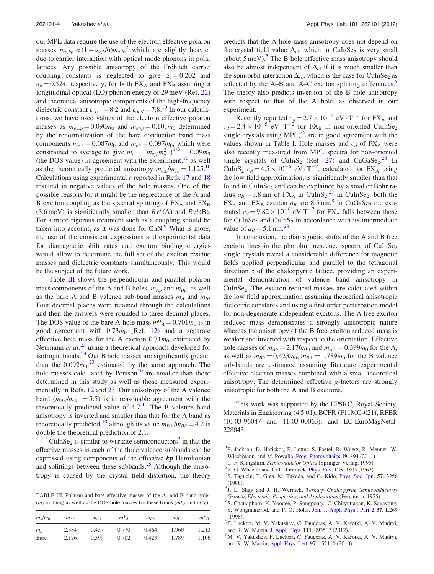<span id="page-4-0"></span>our MPL data require the use of the electron effective polaron masses  $m_{e,hp} \approx (1+\alpha_{e,h}/6)m_{e,h}^2$  which are slightly heavier due to carrier interaction with optical mode phonons in polar lattices. Any possible anisotropy of the Fröhlich carrier coupling constants is neglected to give  $\alpha_e = 0.202$  and  $\alpha_h$  = 0.524, respectively, for both FX<sub>A</sub> and FX<sub>B</sub> assuming a longitudinal optical (LO) phonon energy of 29 meV (Ref. [22\)](#page-5-0) and theoretical anisotropic components of the high-frequency dielectric constant  $\varepsilon_{\infty\perp}$  = 8.2 and  $\varepsilon_{\infty/}/$  7.8.<sup>10</sup> In our calculations, we have used values of the electron effective polaron masses as  $m_{e\perp p} = 0.090m_0$  and  $m_{e\parallel p} = 0.101m_0$  determined by the renormalization of the bare conduction band mass components  $m_{e\perp} = 0.087m_0$  and  $m_{e\parallel} = 0.097m_0$ , which were constrained to average to give  $m_e = (m_{e/1}/m_{e\perp}^2)^{1/3} = 0.09 m_0$ (the DOS value) in agreement with the experiment, $16$  as well as the theoretically predicted anisotropy  $m_{e\perp}/m_{e\parallel} = 1.125^{10}$  $m_{e\perp}/m_{e\parallel} = 1.125^{10}$  $m_{e\perp}/m_{e\parallel} = 1.125^{10}$ Calculations using experimental  $\varepsilon$  reported in Refs. [17](#page-5-0) and [18](#page-5-0) resulted in negative values of the hole masses. One of the possible reasons for it might be the neglectance of the A and B exciton coupling as the spectral splitting of  $FX_A$  and  $FX_B$  $(3.6 \,\text{meV})$  is significantly smaller than  $Ry^*(A)$  and  $Ry^*(B)$ . For a more rigorous treatment such as a coupling should be taken into account, as it was done for  $GaN$ .<sup>9</sup> What is more, the use of the consistent expressions and experimental data for diamagnetic shift rates and exciton binding energies would allow to determine the full set of the exciton residue masses and dielectric constants simultaneously. This would be the subject of the future work.

Table III shows the perpendicular and parallel polaron mass components of the A and B holes,  $m_{Ap}$  and  $m_{Bp}$ , as well as the bare A and B valence sub-band masses  $m_A$  and  $m_B$ . Four decimal places were retained through the calculations and then the answers were rounded to three decimal places. The DOS value of the bare A-hole mass  $m^*_{A} = 0.701 m_0$  is in good agreement with  $0.73m_0$  (Ref. [12](#page-5-0)) and a separate effective hole mass for the A exciton  $0.71m_0$ , estimated by Neumann et al.<sup>[23](#page-5-0)</sup> using a theoretical approach developed for isotropic bands.<sup>[24](#page-5-0)</sup> Our B hole masses are significantly greater than the  $0.092m_0$ <sup>[23](#page-5-0)</sup> estimated by the same approach. The hole masses calculated by  $Persson<sup>10</sup>$  $Persson<sup>10</sup>$  $Persson<sup>10</sup>$  are smaller than those determined in this study as well as those measured experimentally in Refs. [12](#page-5-0) and [23](#page-5-0). Our anisotropy of the A valence band  $(m_{A//} / m_{A+} = 5.5)$  is in reasonable agreement with the theoretically predicted value of  $4.7<sup>10</sup>$  $4.7<sup>10</sup>$  $4.7<sup>10</sup>$  The B valence band anisotropy is inverted and smaller than that for the A band as theoretically predicted,<sup>[10](#page-5-0)</sup> although its value  $m_{B\perp}/m_{B\parallel} = 4.2$  is double the theoretical prediction of 2.1.

CuInSe<sub>2</sub> is similar to wurtzite semiconductors<sup>[9](#page-5-0)</sup> in that the effective masses in each of the three valence subbands can be expressed using components of the effective  $kp$  Hamiltonian and splittings between these subbands. $^{25}$  Although the anisotropy is caused by the crystal field distortion, the theory

TABLE III. Polaron and bare effective masses of the A- and B-band holes  $(m_A \text{ and } m_B)$  as well as the DOS hole masses for these bands  $(m^*_{A} \text{ and } m^*_{B})$ .

| $m_h/m_0$   | $m_{AII}$ | $m_{A\perp}$ | $m^*_{A}$ | $m_{BII}$ | $m_{B+}$ | $m^*{}_B$ |
|-------------|-----------|--------------|-----------|-----------|----------|-----------|
| $m_{\rm p}$ | 2.384     | 0.437        | 0.770     | 0.464     | 1.960    | 1.213     |
| Bare        | 2.176     | 0.399        | 0.702     | 0.423     | 1.789    | 1.106     |

predicts that the A hole mass anisotropy does not depend on the crystal field value  $\Delta_{cf}$ , which in CuInSe<sub>2</sub> is very small (about  $5 \text{ meV}$ ). The B hole effective mass anisotropy should also be almost independent of  $\Delta_{cf}$  if it is much smaller than the spin-orbit interaction  $\Delta_{so}$ , which is the case for CuInSe<sub>2</sub> as reflected by the A–B and A–C exciton splitting differences.<sup>5</sup> The theory also predicts inversion of the B hole anisotropy with respect to that of the A hole, as observed in our experiment.

Recently reported  $c_d = 2.7 \times 10^{-5} \text{ eV} \cdot \text{T}^{-2}$  for FX<sub>A</sub> and  $c_d = 2.4 \times 10^{-5}$  eV $\cdot$ T<sup>-2</sup> for FX<sub>B</sub> in non-oriented CuInSe<sub>2</sub> single crystals using  $MPL<sup>26</sup>$  $MPL<sup>26</sup>$  $MPL<sup>26</sup>$  are in good agreement with the values shown in Table [I.](#page-3-0) Hole masses and  $c_d$  of  $FX_A$  were also recently measured from MPL spectra for non-oriented single crystals of CuInS<sub>2</sub> (Ref. [27\)](#page-5-0) and CuGaSe<sub>2</sub>.<sup>[28](#page-5-0)</sup> In CuInS<sub>2</sub>  $c_d = 4.5 \times 10^{-6}$  eV $\cdot$ T<sup>-2</sup>, calculated for FX<sub>A</sub> using the low field approximation, is significantly smaller than that found in CuInSe<sub>2</sub> and can be explained by a smaller Bohr radius  $a_B = 3.8$  nm of  $FX_A$  in CuInS<sub>2</sub>.<sup>[27](#page-5-0)</sup> In CuInSe<sub>2</sub>, both the  $FX_A$  and  $FX_B$  exciton  $a_B$  are 8.5 nm.<sup>8</sup> In CuGaSe<sub>2</sub> the estimated  $c_d = 9.82 \times 10^{-6}$  eV T<sup>-2</sup> for FX<sub>A</sub> falls between those for CuInSe<sub>2</sub> and CuInS<sub>2</sub> in accordance with its intermediate value of  $a_B = 5.1$  nm.<sup>28</sup>

In conclusion, the diamagnetic shifts of the A and B free exciton lines in the photoluminescence spectra of  $CuInSe<sub>2</sub>$ single crystals reveal a considerable difference for magnetic fields applied perpendicular and parallel to the tetragonal direction z of the chalcopyrite lattice, providing an experimental demonstration of valence band anisotropy in  $CuInSe<sub>2</sub>$ . The exciton reduced masses are calculated within the low field approximation assuming theoretical anisotropic dielectric constants and using a first order perturbation model for non-degenerate independent excitons. The A free exciton reduced mass demonstrates a strongly anisotropic nature whereas the anisotropy of the B free exciton reduced mass is weaker and inverted with respect to the orientation. Effective hole masses of  $m_{A//} = 2.176m_0$  and  $m_{A\perp} = 0.399m_0$  for the A, as well as  $m_{B/}/ = 0.423 m_0$ ,  $m_{B\perp} = 1.789 m_0$  for the B valence sub-bands are estimated assuming literature experimental effective electron masses combined with a small theoretical anisotropy. The determined effective g-factors are strongly anisotropic for both the A and B excitons.

This work was supported by the EPSRC, Royal Society, Materials in Engineering (4.5.01), BCFR (F11MC-021), RFBR (10-03-96047 and 11-03-00063), and EC-EuroMagNetII-228043.

1 P. Jackson, D. Hariskos, E. Lotter, S. Paetel, R. Wuerz, R. Menner, W. Wischmann, and M. Powalla, [Prog. Photovoltaics](http://dx.doi.org/10.1002/pip.1078) 19, 894 (2011).

- <sup>2</sup>C. F. Klingshirn, Semiconductor Optics (Springer-Verlag, 1995).
- $R^3R$ . G. Wheeler and J. O. Dimmock, *[Phys. Rev.](http://dx.doi.org/10.1103/PhysRev.125.1805)* 125, 1805 (1962).
- <sup>4</sup>S. Taguchi, T. Gota, M. Takeda, and G. Kido, *[Phys. Soc. Jpn.](http://dx.doi.org/10.1143/JPSJ.57.3256)* 57, 3256 (1988).
- <sup>5</sup>J. L. Shay and J. H. Wernick, Ternary Chalcopyrite Semiconductors-Growth, Electronic Properties, and Applications (Pergamon, 1975).
- <sup>6</sup>S. Chatraphorn, K. Yoodee, P. Songpongs, C. Chityuttakan, K. Sayavong,
- S. Wongmanerod, and P. O. Holtz, [Jpn. J. Appl. Phys., Part 2](http://dx.doi.org/10.1143/JJAP.37.L269) 37, L269 (1998).
- <sup>7</sup>F. Luckert, M. V. Yakushev, C. Faugeras, A. V. Karotki, A. V. Mudryi, and R. W. Martin, [J. Appl. Phys.](http://dx.doi.org/10.1063/1.4709448) 111, 093507 (2012).
- M. V. Yakushev, F. Luckert, C. Faugeras, A. V. Karotki, A. V. Mudryi, and R. W. Martin, [Appl. Phys. Lett.](http://dx.doi.org/10.1063/1.3502603) 97, 152110 (2010).